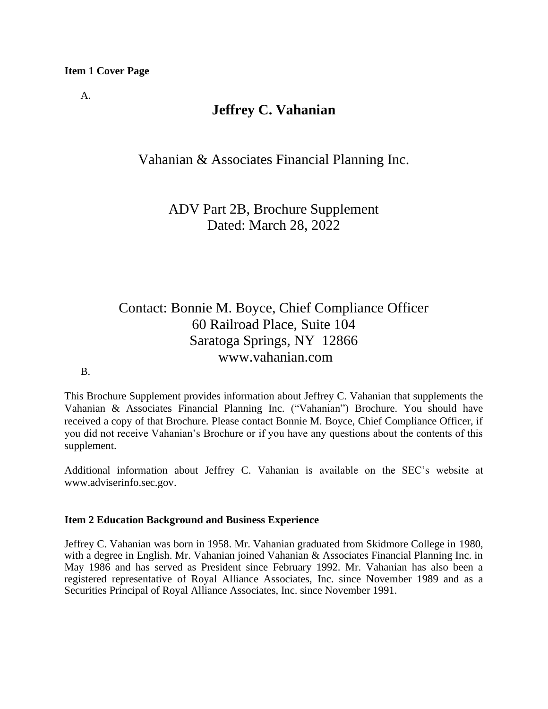### **Item 1 Cover Page**

A.

## **Jeffrey C. Vahanian**

Vahanian & Associates Financial Planning Inc.

ADV Part 2B, Brochure Supplement Dated: March 28, 2022

# Contact: Bonnie M. Boyce, Chief Compliance Officer 60 Railroad Place, Suite 104 Saratoga Springs, NY 12866 www.vahanian.com

#### B.

This Brochure Supplement provides information about Jeffrey C. Vahanian that supplements the Vahanian & Associates Financial Planning Inc. ("Vahanian") Brochure. You should have received a copy of that Brochure. Please contact Bonnie M. Boyce, Chief Compliance Officer, if you did not receive Vahanian's Brochure or if you have any questions about the contents of this supplement.

Additional information about Jeffrey C. Vahanian is available on the SEC's website at [www.adviserinfo.sec.gov.](http://www.adviserinfo.sec.gov/)

## **Item 2 Education Background and Business Experience**

Jeffrey C. Vahanian was born in 1958. Mr. Vahanian graduated from Skidmore College in 1980, with a degree in English. Mr. Vahanian joined Vahanian & Associates Financial Planning Inc. in May 1986 and has served as President since February 1992. Mr. Vahanian has also been a registered representative of Royal Alliance Associates, Inc. since November 1989 and as a Securities Principal of Royal Alliance Associates, Inc. since November 1991.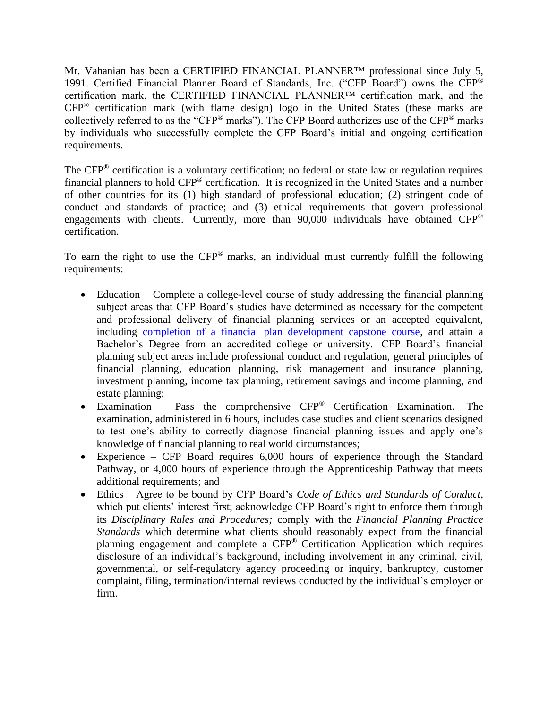Mr. Vahanian has been a CERTIFIED FINANCIAL PLANNER™ professional since July 5, 1991. Certified Financial Planner Board of Standards, Inc. ("CFP Board") owns the CFP® certification mark, the CERTIFIED FINANCIAL PLANNER™ certification mark, and the CFP® certification mark (with flame design) logo in the United States (these marks are collectively referred to as the "CFP® marks"). The CFP Board authorizes use of the CFP® marks by individuals who successfully complete the CFP Board's initial and ongoing certification requirements.

The CFP<sup>®</sup> certification is a voluntary certification; no federal or state law or regulation requires financial planners to hold CFP® certification. It is recognized in the United States and a number of other countries for its (1) high standard of professional education; (2) stringent code of conduct and standards of practice; and (3) ethical requirements that govern professional engagements with clients. Currently, more than  $90,000$  individuals have obtained CFP<sup>®</sup> certification.

To earn the right to use the CFP® marks, an individual must currently fulfill the following requirements:

- Education Complete a college-level course of study addressing the financial planning subject areas that CFP Board's studies have determined as necessary for the competent and professional delivery of financial planning services or an accepted equivalent, including [completion of a financial plan development capstone course,](https://www.cfp.net/become-a-cfp-professional/cfp-certification-requirements/education-requirement/capstone-course) and attain a Bachelor's Degree from an accredited college or university. CFP Board's financial planning subject areas include professional conduct and regulation, general principles of financial planning, education planning, risk management and insurance planning, investment planning, income tax planning, retirement savings and income planning, and estate planning;
- Examination Pass the comprehensive CFP® Certification Examination. The examination, administered in 6 hours, includes case studies and client scenarios designed to test one's ability to correctly diagnose financial planning issues and apply one's knowledge of financial planning to real world circumstances;
- Experience CFP Board requires 6,000 hours of experience through the Standard Pathway, or 4,000 hours of experience through the Apprenticeship Pathway that meets additional requirements; and
- Ethics Agree to be bound by CFP Board's *Code of Ethics and Standards of Conduct*, which put clients' interest first; acknowledge CFP Board's right to enforce them through its *Disciplinary Rules and Procedures;* comply with the *Financial Planning Practice Standards* which determine what clients should reasonably expect from the financial planning engagement and complete a CFP® Certification Application which requires disclosure of an individual's background, including involvement in any criminal, civil, governmental, or self-regulatory agency proceeding or inquiry, bankruptcy, customer complaint, filing, termination/internal reviews conducted by the individual's employer or firm.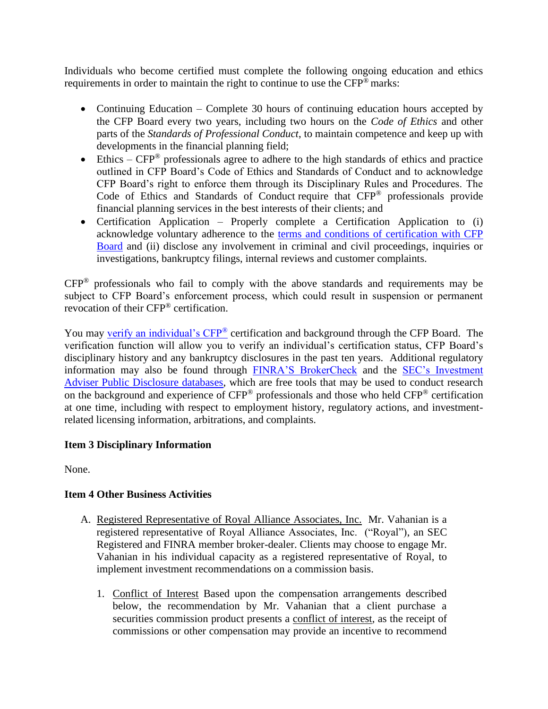Individuals who become certified must complete the following ongoing education and ethics requirements in order to maintain the right to continue to use the CFP<sup>®</sup> marks:

- Continuing Education Complete 30 hours of continuing education hours accepted by the CFP Board every two years, including two hours on the *Code of Ethics* and other parts of the *Standards of Professional Conduct*, to maintain competence and keep up with developments in the financial planning field;
- Ethics  $CFP^{\circledast}$  professionals agree to adhere to the high standards of ethics and practice outlined in CFP Board's Code of Ethics and Standards of Conduct and to acknowledge CFP Board's right to enforce them through its Disciplinary Rules and Procedures. The Code of Ethics and Standards of Conduct require that CFP® professionals provide financial planning services in the best interests of their clients; and
- Certification Application Properly complete a Certification Application to (i) acknowledge voluntary adherence to the [terms and conditions of certification with CFP](https://www.cfp.net/utility/terms-and-conditions-of-certification-and-license)  [Board](https://www.cfp.net/utility/terms-and-conditions-of-certification-and-license) and (ii) disclose any involvement in criminal and civil proceedings, inquiries or investigations, bankruptcy filings, internal reviews and customer complaints.

CFP® professionals who fail to comply with the above standards and requirements may be subject to CFP Board's enforcement process, which could result in suspension or permanent revocation of their CFP® certification.

You may [verify an individual's CFP](https://www.cfp.net/verify-a-cfp-professional)<sup>®</sup> certification and background through the CFP Board. The verification function will allow you to verify an individual's certification status, CFP Board's disciplinary history and any bankruptcy disclosures in the past ten years. Additional regulatory information may also be found through [FINRA'S BrokerCheck](https://brokercheck.finra.org/) and the [SEC's Investment](https://www.adviserinfo.sec.gov/IAPD/Default.aspx)  [Adviser Public Disclosure databases,](https://www.adviserinfo.sec.gov/IAPD/Default.aspx) which are free tools that may be used to conduct research on the background and experience of CFP® professionals and those who held CFP® certification at one time, including with respect to employment history, regulatory actions, and investmentrelated licensing information, arbitrations, and complaints.

## **Item 3 Disciplinary Information**

None.

## **Item 4 Other Business Activities**

- A. Registered Representative of Royal Alliance Associates, Inc. Mr. Vahanian is a registered representative of Royal Alliance Associates, Inc. ("Royal"), an SEC Registered and FINRA member broker-dealer. Clients may choose to engage Mr. Vahanian in his individual capacity as a registered representative of Royal, to implement investment recommendations on a commission basis.
	- 1. Conflict of Interest Based upon the compensation arrangements described below, the recommendation by Mr. Vahanian that a client purchase a securities commission product presents a conflict of interest, as the receipt of commissions or other compensation may provide an incentive to recommend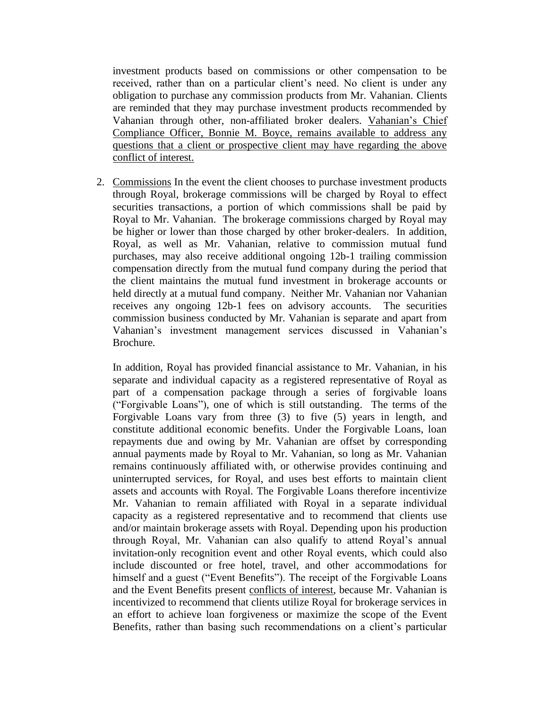investment products based on commissions or other compensation to be received, rather than on a particular client's need. No client is under any obligation to purchase any commission products from Mr. Vahanian. Clients are reminded that they may purchase investment products recommended by Vahanian through other, non-affiliated broker dealers. Vahanian's Chief Compliance Officer, Bonnie M. Boyce, remains available to address any questions that a client or prospective client may have regarding the above conflict of interest.

2. Commissions In the event the client chooses to purchase investment products through Royal, brokerage commissions will be charged by Royal to effect securities transactions, a portion of which commissions shall be paid by Royal to Mr. Vahanian. The brokerage commissions charged by Royal may be higher or lower than those charged by other broker-dealers. In addition, Royal, as well as Mr. Vahanian, relative to commission mutual fund purchases, may also receive additional ongoing 12b-1 trailing commission compensation directly from the mutual fund company during the period that the client maintains the mutual fund investment in brokerage accounts or held directly at a mutual fund company. Neither Mr. Vahanian nor Vahanian receives any ongoing 12b-1 fees on advisory accounts. The securities commission business conducted by Mr. Vahanian is separate and apart from Vahanian's investment management services discussed in Vahanian's Brochure.

In addition, Royal has provided financial assistance to Mr. Vahanian, in his separate and individual capacity as a registered representative of Royal as part of a compensation package through a series of forgivable loans ("Forgivable Loans"), one of which is still outstanding. The terms of the Forgivable Loans vary from three (3) to five (5) years in length, and constitute additional economic benefits. Under the Forgivable Loans, loan repayments due and owing by Mr. Vahanian are offset by corresponding annual payments made by Royal to Mr. Vahanian, so long as Mr. Vahanian remains continuously affiliated with, or otherwise provides continuing and uninterrupted services, for Royal, and uses best efforts to maintain client assets and accounts with Royal. The Forgivable Loans therefore incentivize Mr. Vahanian to remain affiliated with Royal in a separate individual capacity as a registered representative and to recommend that clients use and/or maintain brokerage assets with Royal. Depending upon his production through Royal, Mr. Vahanian can also qualify to attend Royal's annual invitation-only recognition event and other Royal events, which could also include discounted or free hotel, travel, and other accommodations for himself and a guest ("Event Benefits"). The receipt of the Forgivable Loans and the Event Benefits present conflicts of interest, because Mr. Vahanian is incentivized to recommend that clients utilize Royal for brokerage services in an effort to achieve loan forgiveness or maximize the scope of the Event Benefits, rather than basing such recommendations on a client's particular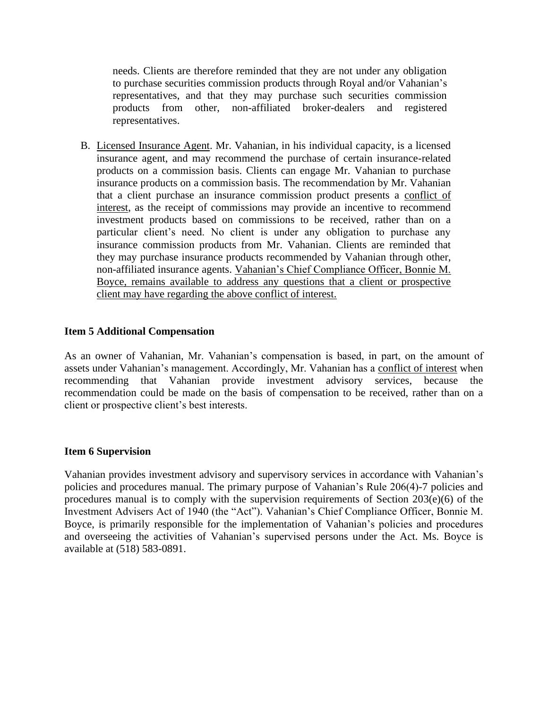needs. Clients are therefore reminded that they are not under any obligation to purchase securities commission products through Royal and/or Vahanian's representatives, and that they may purchase such securities commission products from other, non-affiliated broker-dealers and registered representatives.

B. Licensed Insurance Agent. Mr. Vahanian, in his individual capacity, is a licensed insurance agent, and may recommend the purchase of certain insurance-related products on a commission basis. Clients can engage Mr. Vahanian to purchase insurance products on a commission basis. The recommendation by Mr. Vahanian that a client purchase an insurance commission product presents a conflict of interest, as the receipt of commissions may provide an incentive to recommend investment products based on commissions to be received, rather than on a particular client's need. No client is under any obligation to purchase any insurance commission products from Mr. Vahanian. Clients are reminded that they may purchase insurance products recommended by Vahanian through other, non-affiliated insurance agents. Vahanian's Chief Compliance Officer, Bonnie M. Boyce, remains available to address any questions that a client or prospective client may have regarding the above conflict of interest.

## **Item 5 Additional Compensation**

As an owner of Vahanian, Mr. Vahanian's compensation is based, in part, on the amount of assets under Vahanian's management. Accordingly, Mr. Vahanian has a conflict of interest when recommending that Vahanian provide investment advisory services, because the recommendation could be made on the basis of compensation to be received, rather than on a client or prospective client's best interests.

#### **Item 6 Supervision**

Vahanian provides investment advisory and supervisory services in accordance with Vahanian's policies and procedures manual. The primary purpose of Vahanian's Rule 206(4)-7 policies and procedures manual is to comply with the supervision requirements of Section 203(e)(6) of the Investment Advisers Act of 1940 (the "Act"). Vahanian's Chief Compliance Officer, Bonnie M. Boyce, is primarily responsible for the implementation of Vahanian's policies and procedures and overseeing the activities of Vahanian's supervised persons under the Act. Ms. Boyce is available at (518) 583-0891.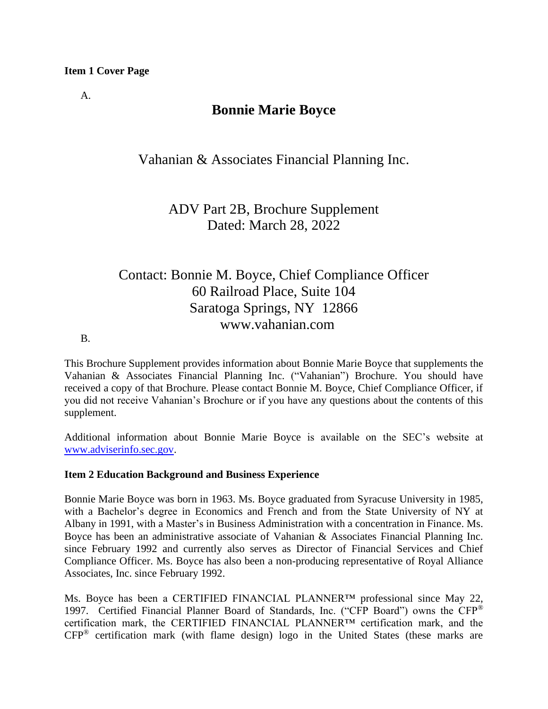## **Item 1 Cover Page**

A.

## **Bonnie Marie Boyce**

Vahanian & Associates Financial Planning Inc.

ADV Part 2B, Brochure Supplement Dated: March 28, 2022

# Contact: Bonnie M. Boyce, Chief Compliance Officer 60 Railroad Place, Suite 104 Saratoga Springs, NY 12866 www.vahanian.com

B.

This Brochure Supplement provides information about Bonnie Marie Boyce that supplements the Vahanian & Associates Financial Planning Inc. ("Vahanian") Brochure. You should have received a copy of that Brochure. Please contact Bonnie M. Boyce, Chief Compliance Officer, if you did not receive Vahanian's Brochure or if you have any questions about the contents of this supplement.

Additional information about Bonnie Marie Boyce is available on the SEC's website at [www.adviserinfo.sec.gov.](http://www.adviserinfo.sec.gov/)

## **Item 2 Education Background and Business Experience**

Bonnie Marie Boyce was born in 1963. Ms. Boyce graduated from Syracuse University in 1985, with a Bachelor's degree in Economics and French and from the State University of NY at Albany in 1991, with a Master's in Business Administration with a concentration in Finance. Ms. Boyce has been an administrative associate of Vahanian & Associates Financial Planning Inc. since February 1992 and currently also serves as Director of Financial Services and Chief Compliance Officer. Ms. Boyce has also been a non-producing representative of Royal Alliance Associates, Inc. since February 1992.

Ms. Boyce has been a CERTIFIED FINANCIAL PLANNER<sup>™</sup> professional since May 22, 1997. Certified Financial Planner Board of Standards, Inc. ("CFP Board") owns the CFP® certification mark, the CERTIFIED FINANCIAL PLANNER™ certification mark, and the CFP® certification mark (with flame design) logo in the United States (these marks are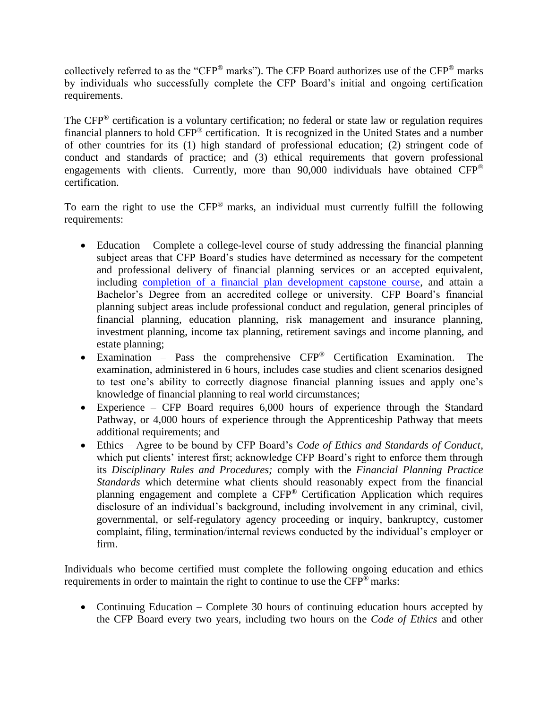collectively referred to as the "CFP® marks"). The CFP Board authorizes use of the CFP® marks by individuals who successfully complete the CFP Board's initial and ongoing certification requirements.

The CFP<sup>®</sup> certification is a voluntary certification; no federal or state law or regulation requires financial planners to hold CFP® certification. It is recognized in the United States and a number of other countries for its (1) high standard of professional education; (2) stringent code of conduct and standards of practice; and (3) ethical requirements that govern professional engagements with clients. Currently, more than 90,000 individuals have obtained CFP® certification.

To earn the right to use the CFP® marks, an individual must currently fulfill the following requirements:

- Education Complete a college-level course of study addressing the financial planning subject areas that CFP Board's studies have determined as necessary for the competent and professional delivery of financial planning services or an accepted equivalent, including [completion of a financial plan development capstone course,](https://www.cfp.net/become-a-cfp-professional/cfp-certification-requirements/education-requirement/capstone-course) and attain a Bachelor's Degree from an accredited college or university. CFP Board's financial planning subject areas include professional conduct and regulation, general principles of financial planning, education planning, risk management and insurance planning, investment planning, income tax planning, retirement savings and income planning, and estate planning;
- Examination Pass the comprehensive CFP® Certification Examination. The examination, administered in 6 hours, includes case studies and client scenarios designed to test one's ability to correctly diagnose financial planning issues and apply one's knowledge of financial planning to real world circumstances;
- Experience CFP Board requires 6,000 hours of experience through the Standard Pathway, or 4,000 hours of experience through the Apprenticeship Pathway that meets additional requirements; and
- Ethics Agree to be bound by CFP Board's *Code of Ethics and Standards of Conduct*, which put clients' interest first; acknowledge CFP Board's right to enforce them through its *Disciplinary Rules and Procedures;* comply with the *Financial Planning Practice Standards* which determine what clients should reasonably expect from the financial planning engagement and complete a CFP® Certification Application which requires disclosure of an individual's background, including involvement in any criminal, civil, governmental, or self-regulatory agency proceeding or inquiry, bankruptcy, customer complaint, filing, termination/internal reviews conducted by the individual's employer or firm.

Individuals who become certified must complete the following ongoing education and ethics requirements in order to maintain the right to continue to use the CFP® marks:

• Continuing Education – Complete 30 hours of continuing education hours accepted by the CFP Board every two years, including two hours on the *Code of Ethics* and other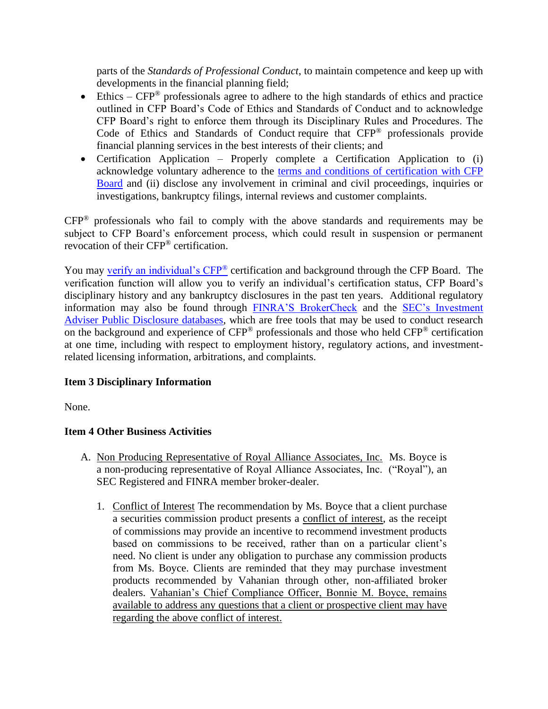parts of the *Standards of Professional Conduct*, to maintain competence and keep up with developments in the financial planning field;

- Ethics  $CFP^{\circledast}$  professionals agree to adhere to the high standards of ethics and practice outlined in CFP Board's Code of Ethics and Standards of Conduct and to acknowledge CFP Board's right to enforce them through its Disciplinary Rules and Procedures. The Code of Ethics and Standards of Conduct require that CFP® professionals provide financial planning services in the best interests of their clients; and
- Certification Application Properly complete a Certification Application to (i) acknowledge voluntary adherence to the [terms and conditions of certification with CFP](https://www.cfp.net/utility/terms-and-conditions-of-certification-and-license)  [Board](https://www.cfp.net/utility/terms-and-conditions-of-certification-and-license) and (ii) disclose any involvement in criminal and civil proceedings, inquiries or investigations, bankruptcy filings, internal reviews and customer complaints.

CFP® professionals who fail to comply with the above standards and requirements may be subject to CFP Board's enforcement process, which could result in suspension or permanent revocation of their CFP® certification.

You may [verify an individual's CFP](https://www.cfp.net/verify-a-cfp-professional)® certification and background through the CFP Board. The verification function will allow you to verify an individual's certification status, CFP Board's disciplinary history and any bankruptcy disclosures in the past ten years. Additional regulatory information may also be found through [FINRA'S BrokerCheck](https://brokercheck.finra.org/) and the [SEC's Investment](https://www.adviserinfo.sec.gov/IAPD/Default.aspx)  [Adviser Public Disclosure databases,](https://www.adviserinfo.sec.gov/IAPD/Default.aspx) which are free tools that may be used to conduct research on the background and experience of CFP® professionals and those who held CFP® certification at one time, including with respect to employment history, regulatory actions, and investmentrelated licensing information, arbitrations, and complaints.

## **Item 3 Disciplinary Information**

None.

## **Item 4 Other Business Activities**

- A. Non Producing Representative of Royal Alliance Associates, Inc. Ms. Boyce is a non-producing representative of Royal Alliance Associates, Inc. ("Royal"), an SEC Registered and FINRA member broker-dealer.
	- 1. Conflict of Interest The recommendation by Ms. Boyce that a client purchase a securities commission product presents a conflict of interest, as the receipt of commissions may provide an incentive to recommend investment products based on commissions to be received, rather than on a particular client's need. No client is under any obligation to purchase any commission products from Ms. Boyce. Clients are reminded that they may purchase investment products recommended by Vahanian through other, non-affiliated broker dealers. Vahanian's Chief Compliance Officer, Bonnie M. Boyce, remains available to address any questions that a client or prospective client may have regarding the above conflict of interest.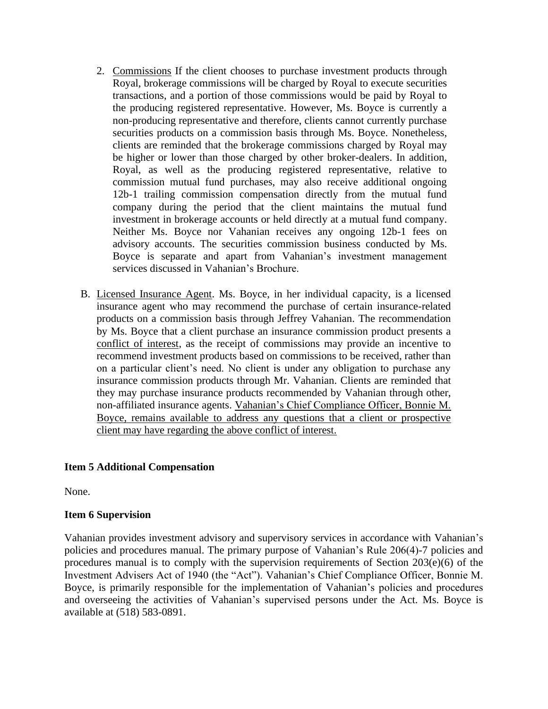- 2. Commissions If the client chooses to purchase investment products through Royal, brokerage commissions will be charged by Royal to execute securities transactions, and a portion of those commissions would be paid by Royal to the producing registered representative. However, Ms. Boyce is currently a non-producing representative and therefore, clients cannot currently purchase securities products on a commission basis through Ms. Boyce. Nonetheless, clients are reminded that the brokerage commissions charged by Royal may be higher or lower than those charged by other broker-dealers. In addition, Royal, as well as the producing registered representative, relative to commission mutual fund purchases, may also receive additional ongoing 12b-1 trailing commission compensation directly from the mutual fund company during the period that the client maintains the mutual fund investment in brokerage accounts or held directly at a mutual fund company. Neither Ms. Boyce nor Vahanian receives any ongoing 12b-1 fees on advisory accounts. The securities commission business conducted by Ms. Boyce is separate and apart from Vahanian's investment management services discussed in Vahanian's Brochure.
- B. Licensed Insurance Agent. Ms. Boyce, in her individual capacity, is a licensed insurance agent who may recommend the purchase of certain insurance-related products on a commission basis through Jeffrey Vahanian. The recommendation by Ms. Boyce that a client purchase an insurance commission product presents a conflict of interest, as the receipt of commissions may provide an incentive to recommend investment products based on commissions to be received, rather than on a particular client's need. No client is under any obligation to purchase any insurance commission products through Mr. Vahanian. Clients are reminded that they may purchase insurance products recommended by Vahanian through other, non-affiliated insurance agents. Vahanian's Chief Compliance Officer, Bonnie M. Boyce, remains available to address any questions that a client or prospective client may have regarding the above conflict of interest.

## **Item 5 Additional Compensation**

None.

## **Item 6 Supervision**

Vahanian provides investment advisory and supervisory services in accordance with Vahanian's policies and procedures manual. The primary purpose of Vahanian's Rule 206(4)-7 policies and procedures manual is to comply with the supervision requirements of Section  $203(e)(6)$  of the Investment Advisers Act of 1940 (the "Act"). Vahanian's Chief Compliance Officer, Bonnie M. Boyce, is primarily responsible for the implementation of Vahanian's policies and procedures and overseeing the activities of Vahanian's supervised persons under the Act. Ms. Boyce is available at (518) 583-0891.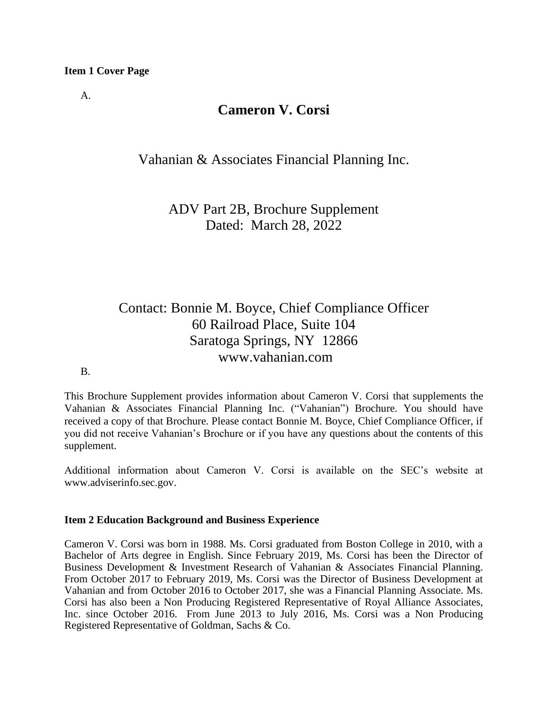A.

# **Cameron V. Corsi**

Vahanian & Associates Financial Planning Inc.

ADV Part 2B, Brochure Supplement Dated: March 28, 2022

# Contact: Bonnie M. Boyce, Chief Compliance Officer 60 Railroad Place, Suite 104 Saratoga Springs, NY 12866 www.vahanian.com

## B.

This Brochure Supplement provides information about Cameron V. Corsi that supplements the Vahanian & Associates Financial Planning Inc. ("Vahanian") Brochure. You should have received a copy of that Brochure. Please contact Bonnie M. Boyce, Chief Compliance Officer, if you did not receive Vahanian's Brochure or if you have any questions about the contents of this supplement.

Additional information about Cameron V. Corsi is available on the SEC's website at [www.adviserinfo.sec.gov.](http://www.adviserinfo.sec.gov/)

## **Item 2 Education Background and Business Experience**

Cameron V. Corsi was born in 1988. Ms. Corsi graduated from Boston College in 2010, with a Bachelor of Arts degree in English. Since February 2019, Ms. Corsi has been the Director of Business Development & Investment Research of Vahanian & Associates Financial Planning. From October 2017 to February 2019, Ms. Corsi was the Director of Business Development at Vahanian and from October 2016 to October 2017, she was a Financial Planning Associate. Ms. Corsi has also been a Non Producing Registered Representative of Royal Alliance Associates, Inc. since October 2016. From June 2013 to July 2016, Ms. Corsi was a Non Producing Registered Representative of Goldman, Sachs & Co.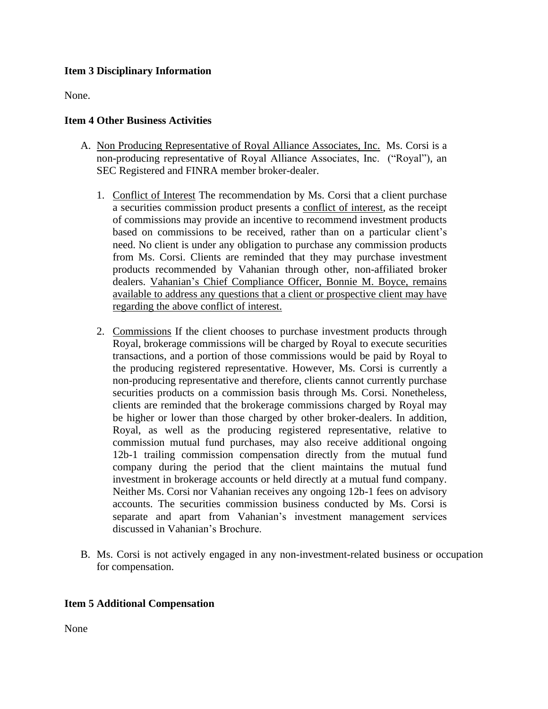## **Item 3 Disciplinary Information**

None.

## **Item 4 Other Business Activities**

- A. Non Producing Representative of Royal Alliance Associates, Inc. Ms. Corsi is a non-producing representative of Royal Alliance Associates, Inc. ("Royal"), an SEC Registered and FINRA member broker-dealer.
	- 1. Conflict of Interest The recommendation by Ms. Corsi that a client purchase a securities commission product presents a conflict of interest, as the receipt of commissions may provide an incentive to recommend investment products based on commissions to be received, rather than on a particular client's need. No client is under any obligation to purchase any commission products from Ms. Corsi. Clients are reminded that they may purchase investment products recommended by Vahanian through other, non-affiliated broker dealers. Vahanian's Chief Compliance Officer, Bonnie M. Boyce, remains available to address any questions that a client or prospective client may have regarding the above conflict of interest.
	- 2. Commissions If the client chooses to purchase investment products through Royal, brokerage commissions will be charged by Royal to execute securities transactions, and a portion of those commissions would be paid by Royal to the producing registered representative. However, Ms. Corsi is currently a non-producing representative and therefore, clients cannot currently purchase securities products on a commission basis through Ms. Corsi. Nonetheless, clients are reminded that the brokerage commissions charged by Royal may be higher or lower than those charged by other broker-dealers. In addition, Royal, as well as the producing registered representative, relative to commission mutual fund purchases, may also receive additional ongoing 12b-1 trailing commission compensation directly from the mutual fund company during the period that the client maintains the mutual fund investment in brokerage accounts or held directly at a mutual fund company. Neither Ms. Corsi nor Vahanian receives any ongoing 12b-1 fees on advisory accounts. The securities commission business conducted by Ms. Corsi is separate and apart from Vahanian's investment management services discussed in Vahanian's Brochure.
- B. Ms. Corsi is not actively engaged in any non-investment-related business or occupation for compensation.

## **Item 5 Additional Compensation**

None